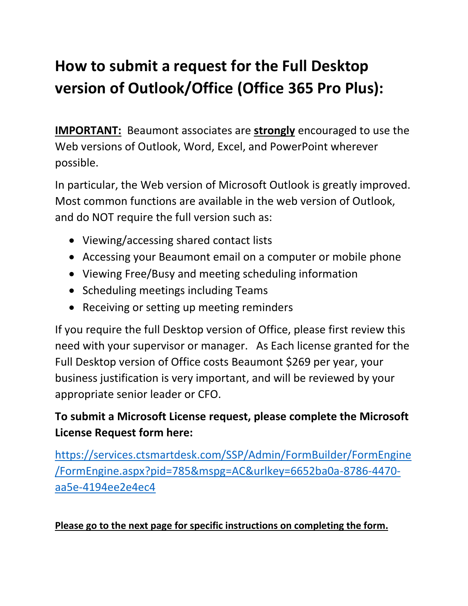# **How to submit a request for the Full Desktop version of Outlook/Office (Office 365 Pro Plus):**

**IMPORTANT:** Beaumont associates are **strongly** encouraged to use the Web versions of Outlook, Word, Excel, and PowerPoint wherever possible.

In particular, the Web version of Microsoft Outlook is greatly improved. Most common functions are available in the web version of Outlook, and do NOT require the full version such as:

- Viewing/accessing shared contact lists
- Accessing your Beaumont email on a computer or mobile phone
- Viewing Free/Busy and meeting scheduling information
- Scheduling meetings including Teams
- Receiving or setting up meeting reminders

If you require the full Desktop version of Office, please first review this need with your supervisor or manager. As Each license granted for the Full Desktop version of Office costs Beaumont \$269 per year, your business justification is very important, and will be reviewed by your appropriate senior leader or CFO.

### **To submit a Microsoft License request, please complete the Microsoft License Request form here:**

[https://services.ctsmartdesk.com/SSP/Admin/FormBuilder/FormEngine](https://services.ctsmartdesk.com/SSP/Admin/FormBuilder/FormEngine/FormEngine.aspx?pid=785&mspg=AC&urlkey=6652ba0a-8786-4470-aa5e-4194ee2e4ec4) [/FormEngine.aspx?pid=785&mspg=AC&urlkey=6652ba0a-8786-4470](https://services.ctsmartdesk.com/SSP/Admin/FormBuilder/FormEngine/FormEngine.aspx?pid=785&mspg=AC&urlkey=6652ba0a-8786-4470-aa5e-4194ee2e4ec4) [aa5e-4194ee2e4ec4](https://services.ctsmartdesk.com/SSP/Admin/FormBuilder/FormEngine/FormEngine.aspx?pid=785&mspg=AC&urlkey=6652ba0a-8786-4470-aa5e-4194ee2e4ec4)

#### **Please go to the next page for specific instructions on completing the form.**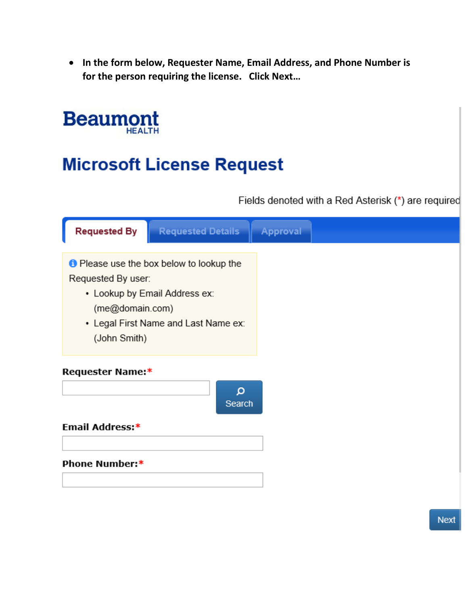• In the form below, Requester Name, Email Address, and Phone Number is for the person requiring the license. Click Next...



### **Microsoft License Request**

Fields denoted with a Red Asterisk (\*) are required

| <b>Requested By</b><br><b>Requested Details</b>                                                                                                                                   | <b>Approval</b> |
|-----------------------------------------------------------------------------------------------------------------------------------------------------------------------------------|-----------------|
| <b>O</b> Please use the box below to lookup the<br>Requested By user:<br>• Lookup by Email Address ex:<br>(me@domain.com)<br>• Legal First Name and Last Name ex:<br>(John Smith) |                 |
| Requester Name:*<br>Q<br>Search                                                                                                                                                   |                 |
| Email Address:*<br>Phone Number:*                                                                                                                                                 |                 |
|                                                                                                                                                                                   |                 |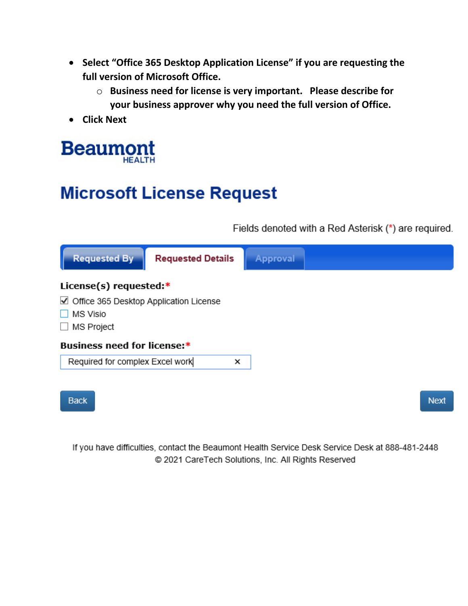- **Select "Office 365 Desktop Application License" if you are requesting the full version of Microsoft Office.**
	- o **Business need for license is very important. Please describe for your business approver why you need the full version of Office.**
- **Click Next**



## **Microsoft License Request**

Fields denoted with a Red Asterisk (\*) are required.

| <b>Requested By</b><br><b>Requested Details</b>                    | Approval    |
|--------------------------------------------------------------------|-------------|
| License(s) requested: $*$                                          |             |
| ○ Office 365 Desktop Application License<br>MS Visio<br>MS Project |             |
| <b>Business need for license:*</b>                                 |             |
| Required for complex Excel work                                    | ×           |
| <b>Back</b>                                                        | <b>Next</b> |

If you have difficulties, contact the Beaumont Health Service Desk Service Desk at 888-481-2448 @ 2021 CareTech Solutions, Inc. All Rights Reserved